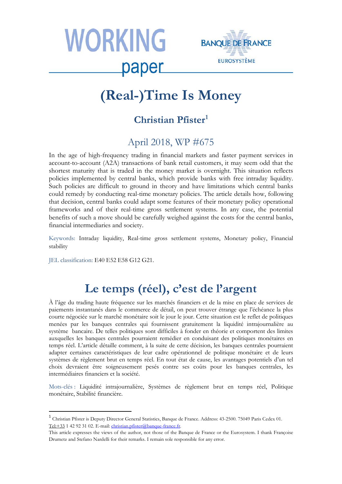



# **(Real-)Time Is Money**

## **Christian Pfister[1](#page-0-0)**

### April 2018, WP #675

In the age of high-frequency trading in financial markets and faster payment services in account-to-account (A2A) transactions of bank retail customers, it may seem odd that the shortest maturity that is traded in the money market is overnight. This situation reflects policies implemented by central banks, which provide banks with free intraday liquidity. Such policies are difficult to ground in theory and have limitations which central banks could remedy by conducting real-time monetary policies. The article details how, following that decision, central banks could adapt some features of their monetary policy operational frameworks and of their real-time gross settlement systems. In any case, the potential benefits of such a move should be carefully weighed against the costs for the central banks, financial intermediaries and society.

Keywords: Intraday liquidity, Real-time gross settlement systems, Monetary policy, Financial stability

JEL classification: E40 E52 E58 G12 G21.

## **Le temps (réel), c'est de l'argent**

À l'âge du trading haute fréquence sur les marchés financiers et de la mise en place de services de paiements instantanés dans le commerce de détail, on peut trouver étrange que l'échéance la plus courte négociée sur le marché monétaire soit le jour le jour. Cette situation est le reflet de politiques menées par les banques centrales qui fournissent gratuitement la liquidité intrajournalière au système bancaire. De telles politiques sont difficiles à fonder en théorie et comportent des limites auxquelles les banques centrales pourraient remédier en conduisant des politiques monétaires en temps réel. L'article détaille comment, à la suite de cette décision, les banques centrales pourraient adapter certaines caractéristiques de leur cadre opérationnel de politique monétaire et de leurs systèmes de règlement brut en temps réel. En tout état de cause, les avantages potentiels d'un tel choix devraient être soigneusement pesés contre ses coûts pour les banques centrales, les intermédiaires financiers et la société.

Mots-clés : Liquidité intrajournalière, Systèmes de règlement brut en temps réel, Politique monétaire, Stabilité financière.

<span id="page-0-0"></span> <sup>1</sup> Christian Pfister is Deputy Director General Statistics, Banque de France. Address: 43-2500. 75049 Paris Cedex 01. [Tel:+33](tel:+33) 1 42 92 31 02. E-mail: [christian.pfister@banque-france.fr.](mailto:christian.pfister@banque-france.fr)

This article expresses the views of the author, not those of the Banque de France or the Eurosystem. I thank Françoise Drumetz and Stefano Nardelli for their remarks. I remain sole responsible for any error.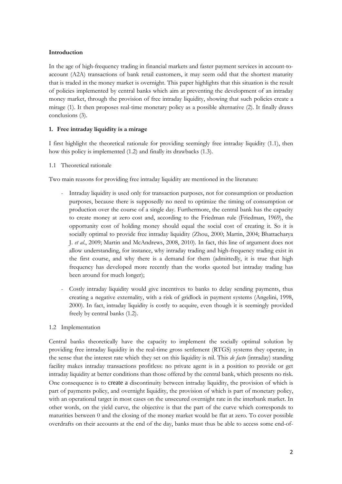#### **Introduction**

In the age of high-frequency trading in financial markets and faster payment services in account-toaccount (A2A) transactions of bank retail customers, it may seem odd that the shortest maturity that is traded in the money market is overnight. This paper highlights that this situation is the result of policies implemented by central banks which aim at preventing the development of an intraday money market, through the provision of free intraday liquidity, showing that such policies create a mirage (1). It then proposes real-time monetary policy as a possible alternative (2). It finally draws conclusions (3).

#### **1. Free intraday liquidity is a mirage**

I first highlight the theoretical rationale for providing seemingly free intraday liquidity (1.1), then how this policy is implemented (1.2) and finally its drawbacks (1.3).

#### 1.1 Theoretical rationale

Two main reasons for providing free intraday liquidity are mentioned in the literature:

- Intraday liquidity is used only for transaction purposes, not for consumption or production purposes, because there is supposedly no need to optimize the timing of consumption or production over the course of a single day. Furthermore, the central bank has the capacity to create money at zero cost and, according to the Friedman rule (Friedman, 1969), the opportunity cost of holding money should equal the social cost of creating it. So it is socially optimal to provide free intraday liquidity (Zhou, 2000; Martin, 2004; Bhattacharya J. *et al*., 2009; Martin and McAndrews, 2008, 2010). In fact, this line of argument does not allow understanding, for instance, why intraday trading and high-frequency trading exist in the first course, and why there is a demand for them (admittedly, it is true that high frequency has developed more recently than the works quoted but intraday trading has been around for much longer);
- Costly intraday liquidity would give incentives to banks to delay sending payments, thus creating a negative externality, with a risk of gridlock in payment systems (Angelini, 1998, 2000). In fact, intraday liquidity is costly to acquire, even though it is seemingly provided freely by central banks (1.2).

#### 1.2 Implementation

Central banks theoretically have the capacity to implement the socially optimal solution by providing free intraday liquidity in the real-time gross settlement (RTGS) systems they operate, in the sense that the interest rate which they set on this liquidity is nil. This *de facto* (intraday) standing facility makes intraday transactions profitless: no private agent is in a position to provide or get intraday liquidity at better conditions than those offered by the central bank, which presents no risk. One consequence is to create a discontinuity between intraday liquidity, the provision of which is part of payments policy, and overnight liquidity, the provision of which is part of monetary policy, with an operational target in most cases on the unsecured overnight rate in the interbank market. In other words, on the yield curve, the objective is that the part of the curve which corresponds to maturities between 0 and the closing of the money market would be flat at zero. To cover possible overdrafts on their accounts at the end of the day, banks must thus be able to access some end-of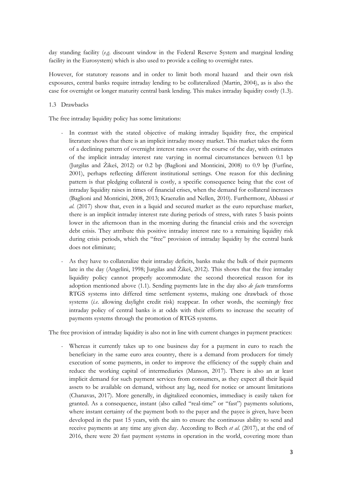day standing facility (*e.g*. discount window in the Federal Reserve System and marginal lending facility in the Eurosystem) which is also used to provide a ceiling to overnight rates.

However, for statutory reasons and in order to limit both moral hazard and their own risk exposures, central banks require intraday lending to be collateralized (Martin, 2004), as is also the case for overnight or longer maturity central bank lending. This makes intraday liquidity costly (1.3).

#### 1.3 Drawbacks

The free intraday liquidity policy has some limitations:

- In contrast with the stated objective of making intraday liquidity free, the empirical literature shows that there is an implicit intraday money market. This market takes the form of a declining pattern of overnight interest rates over the course of the day, with estimates of the implicit intraday interest rate varying in normal circumstances between 0.1 bp (Jurgilas and Žikeš, 2012) or 0.2 bp (Baglioni and Monticini, 2008) to 0.9 bp (Furfine, 2001), perhaps reflecting different institutional settings. One reason for this declining pattern is that pledging collateral is costly, a specific consequence being that the cost of intraday liquidity raises in times of financial crises, when the demand for collateral increases (Baglioni and Monticini, 2008, 2013; Kraenzlin and Nellen, 2010). Furthermore, Abbassi *et al*. (2017) show that, even in a liquid and secured market as the euro repurchase market, there is an implicit intraday interest rate during periods of stress, with rates 5 basis points lower in the afternoon than in the morning during the financial crisis and the sovereign debt crisis. They attribute this positive intraday interest rate to a remaining liquidity risk during crisis periods, which the "free" provision of intraday liquidity by the central bank does not eliminate;
- As they have to collateralize their intraday deficits, banks make the bulk of their payments late in the day (Angelini, 1998; Jurgilas and Žikeš, 2012). This shows that the free intraday liquidity policy cannot properly accommodate the second theoretical reason for its adoption mentioned above (1.1). Sending payments late in the day also *de facto* transforms RTGS systems into differed time settlement systems, making one drawback of those systems (*i.e*. allowing daylight credit risk) reappear. In other words, the seemingly free intraday policy of central banks is at odds with their efforts to increase the security of payments systems through the promotion of RTGS systems.

The free provision of intraday liquidity is also not in line with current changes in payment practices:

Whereas it currently takes up to one business day for a payment in euro to reach the beneficiary in the same euro area country, there is a demand from producers for timely execution of some payments, in order to improve the efficiency of the supply chain and reduce the working capital of intermediaries (Manson, 2017). There is also an at least implicit demand for such payment services from consumers, as they expect all their liquid assets to be available on demand, without any lag, need for notice or amount limitations (Chanavas, 2017). More generally, in digitalized economies, immediacy is easily taken for granted. As a consequence, instant (also called "real-time" or "fast") payments solutions, where instant certainty of the payment both to the payer and the payee is given, have been developed in the past 15 years, with the aim to ensure the continuous ability to send and receive payments at any time any given day. According to Bech *et al*. (2017), at the end of 2016, there were 20 fast payment systems in operation in the world, covering more than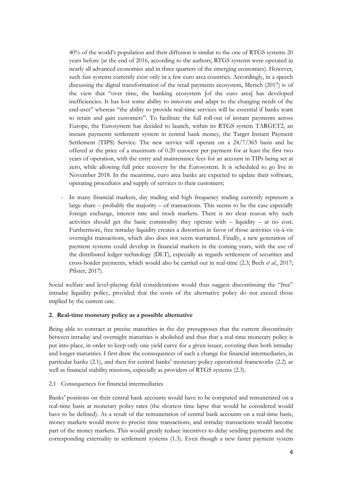40% of the world's population and their diffusion is similar to the one of RTGS systems 20 years before (at the end of 2016, according to the authors, RTGS systems were operated in nearly all advanced economies and in three quarters of the emerging economies). However, such fast systems currently exist only in a few euro area countries. Accordingly, in a speech discussing the digital transformation of the retail payments ecosystem, Mersch (2017) is of the view that "over time, the banking ecosystem [of the euro area] has developed inefficiencies. It has lost some ability to innovate and adapt to the changing needs of the end-user" whereas "the ability to provide real-time services will be essential if banks want to retain and gain customers". To facilitate the full roll-out of instant payments across Europe, the Eurosystem has decided to launch, within its RTGS system TARGET2, an instant payments settlement system in central bank money, the Target Instant Payment Settlement (TIPS) Service. The new service will operate on a 24/7/365 basis and be offered at the price of a maximum of 0.20 eurocent per payment for at least the first two years of operation, with the entry and maintenance fees for an account in TIPs being set at zero, while allowing full price recovery by the Eurosystem. It is scheduled to go live in November 2018. In the meantime, euro area banks are expected to update their software, operating procedures and supply of services to their customers;

- In many financial markets, day trading and high frequency trading currently represent a large share  $-$  probably the majority  $-$  of transactions. This seems to be the case especially foreign exchange, interest rate and stock markets. There is no clear reason why such activities should get the basic commodity they operate with – liquidity – at no cost. Furthermore, free intraday liquidity creates a distortion in favor of those activities vis-à-vis overnight transactions, which also does not seem warranted. Finally, a new generation of payment systems could develop in financial markets in the coming years, with the use of the distributed ledger technology (DLT), especially as regards settlement of securities and cross-border payments, which would also be carried out in real-time (2.3; Bech *et al*., 2017; Pfister, 2017).

Social welfare and level-playing field considerations would thus suggest discontinuing the "free" intraday liquidity policy, provided that the costs of the alternative policy do not exceed those implied by the current one.

#### **2. Real-time monetary policy as a possible alternative**

Being able to contract at precise maturities in the day presupposes that the current discontinuity between intraday and overnight maturities is abolished and thus that a real-time monetary policy is put into place, in order to keep only one yield curve for a given issuer, covering then both intraday and longer maturities. I first draw the consequences of such a change for financial intermediaries, in particular banks (2.1), and then for central banks' monetary policy operational frameworks (2.2) as well as financial stability missions, especially as providers of RTGS systems (2.3).

#### 2.1 Consequences for financial intermediaries

Banks' positions on their central bank accounts would have to be computed and remunerated on a real-time basis at monetary policy rates (the shortest time lapse that would be considered would have to be defined). As a result of the remuneration of central bank accounts on a real-time basis, money markets would move to precise time transactions, and intraday transactions would become part of the money markets. This would greatly reduce incentives to delay sending payments and the corresponding externality in settlement systems (1.3). Even though a new faster payment system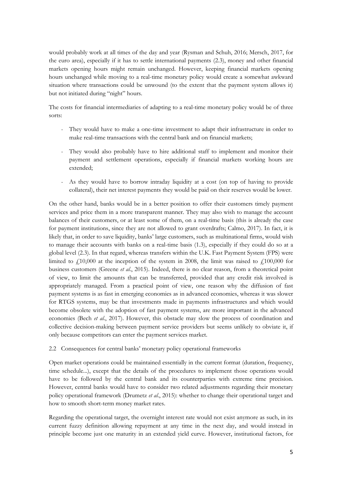would probably work at all times of the day and year (Rysman and Schuh, 2016; Mersch, 2017, for the euro area), especially if it has to settle international payments (2.3), money and other financial markets opening hours might remain unchanged. However, keeping financial markets opening hours unchanged while moving to a real-time monetary policy would create a somewhat awkward situation where transactions could be unwound (to the extent that the payment system allows it) but not initiated during "night" hours.

The costs for financial intermediaries of adapting to a real-time monetary policy would be of three sorts:

- They would have to make a one-time investment to adapt their infrastructure in order to make real-time transactions with the central bank and on financial markets;
- They would also probably have to hire additional staff to implement and monitor their payment and settlement operations, especially if financial markets working hours are extended;
- As they would have to borrow intraday liquidity at a cost (on top of having to provide collateral), their net interest payments they would be paid on their reserves would be lower.

On the other hand, banks would be in a better position to offer their customers timely payment services and price them in a more transparent manner. They may also wish to manage the account balances of their customers, or at least some of them, on a real-time basis (this is already the case for payment institutions, since they are not allowed to grant overdrafts; Calmo, 2017). In fact, it is likely that, in order to save liquidity, banks' large customers, such as multinational firms, would wish to manage their accounts with banks on a real-time basis (1.3), especially if they could do so at a global level (2.3). In that regard, whereas transfers within the U.K. Fast Payment System (FPS) were limited to  $\ell$ 10,000 at the inception of the system in 2008, the limit was raised to  $\ell$ 100,000 for business customers (Greene *et al*., 2015). Indeed, there is no clear reason, from a theoretical point of view, to limit the amounts that can be transferred, provided that any credit risk involved is appropriately managed. From a practical point of view, one reason why the diffusion of fast payment systems is as fast in emerging economies as in advanced economies, whereas it was slower for RTGS systems, may be that investments made in payments infrastructures and which would become obsolete with the adoption of fast payment systems, are more important in the advanced economies (Bech *et al*., 2017). However, this obstacle may slow the process of coordination and collective decision-making between payment service providers but seems unlikely to obviate it, if only because competitors can enter the payment services market.

#### 2.2 Consequences for central banks' monetary policy operational frameworks

Open market operations could be maintained essentially in the current format (duration, frequency, time schedule...), except that the details of the procedures to implement those operations would have to be followed by the central bank and its counterparties with extreme time precision. However, central banks would have to consider two related adjustments regarding their monetary policy operational framework (Drumetz *et al*., 2015): whether to change their operational target and how to smooth short-term money market rates.

Regarding the operational target, the overnight interest rate would not exist anymore as such, in its current fuzzy definition allowing repayment at any time in the next day, and would instead in principle become just one maturity in an extended yield curve. However, institutional factors, for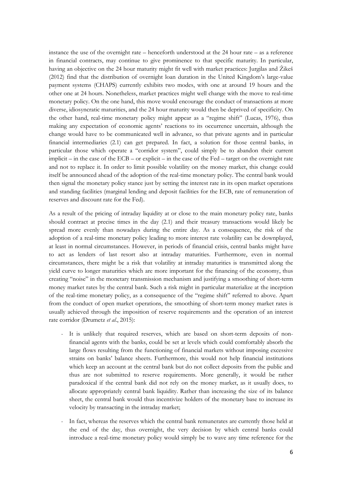instance the use of the overnight rate – henceforth understood at the 24 hour rate – as a reference in financial contracts, may continue to give prominence to that specific maturity. In particular, having an objective on the 24 hour maturity might fit well with market practices: Jurgilas and Žikeš (2012) find that the distribution of overnight loan duration in the United Kingdom's large-value payment systems (CHAPS) currently exhibits two modes, with one at around 19 hours and the other one at 24 hours. Nonetheless, market practices might well change with the move to real-time monetary policy. On the one hand, this move would encourage the conduct of transactions at more diverse, idiosyncratic maturities, and the 24 hour maturity would then be deprived of specificity. On the other hand, real-time monetary policy might appear as a "regime shift" (Lucas, 1976), thus making any expectation of economic agents' reactions to its occurrence uncertain, although the change would have to be communicated well in advance, so that private agents and in particular financial intermediaries (2.1) can get prepared. In fact, a solution for those central banks, in particular those which operate a "corridor system", could simply be to abandon their current implicit – in the case of the ECB – or explicit – in the case of the Fed – target on the overnight rate and not to replace it. In order to limit possible volatility on the money market, this change could itself be announced ahead of the adoption of the real-time monetary policy. The central bank would then signal the monetary policy stance just by setting the interest rate in its open market operations and standing facilities (marginal lending and deposit facilities for the ECB, rate of remuneration of reserves and discount rate for the Fed).

As a result of the pricing of intraday liquidity at or close to the main monetary policy rate, banks should contract at precise times in the day (2.1) and their treasury transactions would likely be spread more evenly than nowadays during the entire day. As a consequence, the risk of the adoption of a real-time monetary policy leading to more interest rate volatility can be downplayed, at least in normal circumstances. However, in periods of financial crisis, central banks might have to act as lenders of last resort also at intraday maturities. Furthermore, even in normal circumstances, there might be a risk that volatility at intraday maturities is transmitted along the yield curve to longer maturities which are more important for the financing of the economy, thus creating "noise" in the monetary transmission mechanism and justifying a smoothing of short-term money market rates by the central bank. Such a risk might in particular materialize at the inception of the real-time monetary policy, as a consequence of the "regime shift" referred to above. Apart from the conduct of open market operations, the smoothing of short-term money market rates is usually achieved through the imposition of reserve requirements and the operation of an interest rate corridor (Drumetz *et al*., 2015):

- It is unlikely that required reserves, which are based on short-term deposits of nonfinancial agents with the banks, could be set at levels which could comfortably absorb the large flows resulting from the functioning of financial markets without imposing excessive strains on banks' balance sheets. Furthermore, this would not help financial institutions which keep an account at the central bank but do not collect deposits from the public and thus are not submitted to reserve requirements. More generally, it would be rather paradoxical if the central bank did not rely on the money market, as it usually does, to allocate appropriately central bank liquidity. Rather than increasing the size of its balance sheet, the central bank would thus incentivize holders of the monetary base to increase its velocity by transacting in the intraday market;
- In fact, whereas the reserves which the central bank remunerates are currently those held at the end of the day, thus overnight, the very decision by which central banks could introduce a real-time monetary policy would simply be to wave any time reference for the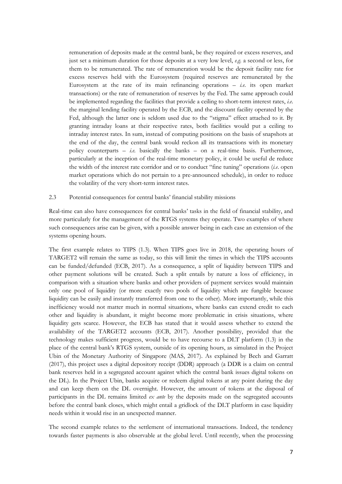remuneration of deposits made at the central bank, be they required or excess reserves, and just set a minimum duration for those deposits at a very low level, *e.g*. a second or less, for them to be remunerated. The rate of remuneration would be the deposit facility rate for excess reserves held with the Eurosystem (required reserves are remunerated by the Eurosystem at the rate of its main refinancing operations – *i.e.* its open market transactions) or the rate of remuneration of reserves by the Fed. The same approach could be implemented regarding the facilities that provide a ceiling to short-term interest rates, *i.e*. the marginal lending facility operated by the ECB, and the discount facility operated by the Fed, although the latter one is seldom used due to the "stigma" effect attached to it. By granting intraday loans at their respective rates, both facilities would put a ceiling to intraday interest rates. In sum, instead of computing positions on the basis of snapshots at the end of the day, the central bank would reckon all its transactions with its monetary policy counterparts  $-$  *i.e.* basically the banks  $-$  on a real-time basis. Furthermore, particularly at the inception of the real-time monetary policy, it could be useful de reduce the width of the interest rate corridor and or to conduct "fine tuning" operations (*i.e*. open market operations which do not pertain to a pre-announced schedule), in order to reduce the volatility of the very short-term interest rates.

#### 2.3 Potential consequences for central banks' financial stability missions

Real-time can also have consequences for central banks' tasks in the field of financial stability, and more particularly for the management of the RTGS systems they operate. Two examples of where such consequences arise can be given, with a possible answer being in each case an extension of the systems opening hours.

The first example relates to TIPS (1.3). When TIPS goes live in 2018, the operating hours of TARGET2 will remain the same as today, so this will limit the times in which the TIPS accounts can be funded/defunded (ECB, 2017). As a consequence, a split of liquidity between TIPS and other payment solutions will be created. Such a split entails by nature a loss of efficiency, in comparison with a situation where banks and other providers of payment services would maintain only one pool of liquidity (or more exactly two pools of liquidity which are fungible because liquidity can be easily and instantly transferred from one to the other). More importantly, while this inefficiency would not matter much in normal situations, where banks can extend credit to each other and liquidity is abundant, it might become more problematic in crisis situations, where liquidity gets scarce. However, the ECB has stated that it would assess whether to extend the availability of the TARGET2 accounts (ECB, 2017). Another possibility, provided that the technology makes sufficient progress, would be to have recourse to a DLT platform (1.3) in the place of the central bank's RTGS system, outside of its opening hours, as simulated in the Project Ubin of the Monetary Authority of Singapore (MAS, 2017). As explained by Bech and Garratt (2017), this project uses a digital depository receipt (DDR) approach (a DDR is a claim on central bank reserves held in a segregated account against which the central bank issues digital tokens on the DL). In the Project Ubin, banks acquire or redeem digital tokens at any point during the day and can keep them on the DL overnight. However, the amount of tokens at the disposal of participants in the DL remains limited *ex ante* by the deposits made on the segregated accounts before the central bank closes, which might entail a gridlock of the DLT platform in case liquidity needs within it would rise in an unexpected manner.

The second example relates to the settlement of international transactions. Indeed, the tendency towards faster payments is also observable at the global level. Until recently, when the processing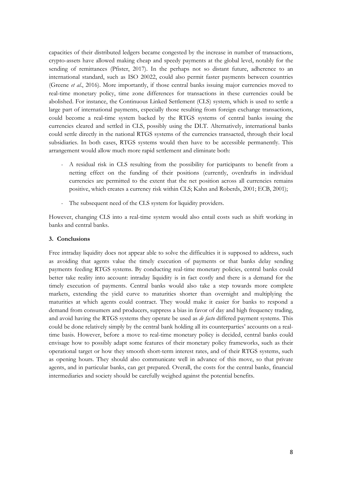capacities of their distributed ledgers became congested by the increase in number of transactions, crypto-assets have allowed making cheap and speedy payments at the global level, notably for the sending of remittances (Pfister, 2017). In the perhaps not so distant future, adherence to an international standard, such as ISO 20022, could also permit faster payments between countries (Greene *et al*., 2016). More importantly, if those central banks issuing major currencies moved to real-time monetary policy, time zone differences for transactions in these currencies could be abolished. For instance, the Continuous Linked Settlement (CLS) system, which is used to settle a large part of international payments, especially those resulting from foreign exchange transactions, could become a real-time system backed by the RTGS systems of central banks issuing the currencies cleared and settled in CLS, possibly using the DLT. Alternatively, international banks could settle directly in the national RTGS systems of the currencies transacted, through their local subsidiaries. In both cases, RTGS systems would then have to be accessible permanently. This arrangement would allow much more rapid settlement and eliminate both:

- A residual risk in CLS resulting from the possibility for participants to benefit from a netting effect on the funding of their positions (currently, overdrafts in individual currencies are permitted to the extent that the net position across all currencies remains positive, which creates a currency risk within CLS; Kahn and Roberds, 2001; ECB, 2001);
- The subsequent need of the CLS system for liquidity providers.

However, changing CLS into a real-time system would also entail costs such as shift working in banks and central banks.

#### **3. Conclusions**

Free intraday liquidity does not appear able to solve the difficulties it is supposed to address, such as avoiding that agents value the timely execution of payments or that banks delay sending payments feeding RTGS systems. By conducting real-time monetary policies, central banks could better take reality into account: intraday liquidity is in fact costly and there is a demand for the timely execution of payments. Central banks would also take a step towards more complete markets, extending the yield curve to maturities shorter than overnight and multiplying the maturities at which agents could contract. They would make it easier for banks to respond a demand from consumers and producers, suppress a bias in favor of day and high frequency trading, and avoid having the RTGS systems they operate be used as *de facto* differed payment systems. This could be done relatively simply by the central bank holding all its counterparties' accounts on a realtime basis. However, before a move to real-time monetary policy is decided, central banks could envisage how to possibly adapt some features of their monetary policy frameworks, such as their operational target or how they smooth short-term interest rates, and of their RTGS systems, such as opening hours. They should also communicate well in advance of this move, so that private agents, and in particular banks, can get prepared. Overall, the costs for the central banks, financial intermediaries and society should be carefully weighed against the potential benefits.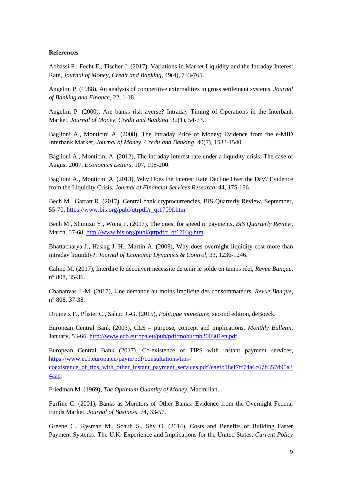#### **References**

Abbassi P., Fecht F., Tischer J. (2017), Variations in Market Liquidity and the Intraday Interest Rate, *Journal of Money, Credit and Banking*, 49(4), 733-765.

Angelini P. (1988), An analysis of competitive externalities in gross settlement systems, *Journal of Banking and Finance*, 22, 1-18.

Angelini P. (2000), Are banks risk averse? Intraday Timing of Operations in the Interbank Market, *Journal of Money, Credit and Banking*, 32(1), 54-73.

Baglioni A., Monticini A. (2008), The Intraday Price of Money; Evidence from the e-MID Interbank Market, *Journal of Money, Credit and Banking*, 40(7), 1533-1540.

Baglioni A., Monticini A. (2012), The intraday interest rate under a liquidity crisis: The case of August 2007, *Economics Letters*, 107, 198-200.

Baglioni A., Monticini A. (2013), Why Does the Interest Rate Decline Over the Day? Evidence from the Liquidity Crisis, *Journal of Financial Services Research*, 44, 175-186.

Bech M., Garratt R. (2017), Central bank cryptocurrencies, BIS Quarterly Review, September, 55-70, [https://www.bis.org/publ/qtrpdf/r\\_qt1709f.htm.](https://www.bis.org/publ/qtrpdf/r_qt1709f.htm)

Bech M., Shimizu Y., Wong P. (2017), The quest for speed in payments, *BIS Quarterly Review*, March, 57-68, [http://www.bis.org/publ/qtrpdf/r\\_qt1703g.htm.](http://www.bis.org/publ/qtrpdf/r_qt1703g.htm)

Bhattacharya J., Haslag J. H., Martin A. (2009), Why does overnight liquidity cost more than intraday liquidity?, *Journal of Economic Dynamics & Control*, 33, 1236-1246.

Calmo M. (2017), Interdire le découvert nécessite de tenir le solde en temps réel, *Revue Banque*, n° 808, 35-36.

Chananvas J.-M. (2017), Une demande au moins implicite des consommateurs, *Revue Banque*, n° 808, 37-38.

Drumetz F., Pfister C., Sahuc J.-G. (2015), *Politique monétaire*, second edition, deBoeck.

European Central Bank (2003), CLS – purpose, concept and implications, *Monthly Bulletin*, January, 53-66, [http://www.ecb.europa.eu/pub/pdf/mobu/mb200301en.pdf.](http://www.ecb.europa.eu/pub/pdf/mobu/mb200301en.pdf)

European Central Bank (2017), Co-existence of TIPS with instant payment services, [https://www.ecb.europa.eu/paym/pdf/consultations/tips-](https://www.ecb.europa.eu/paym/pdf/consultations/tips-coexistence_of_tips_with_other_instant_payment_services.pdf?eaefb18ef7ff74a6c67b357d95a34aac)

coexistence of tips with other instant payment services.pdf?eaefb18ef7ff74a6c67b357d95a3 [4aac.](https://www.ecb.europa.eu/paym/pdf/consultations/tips-coexistence_of_tips_with_other_instant_payment_services.pdf?eaefb18ef7ff74a6c67b357d95a34aac)

Friedman M. (1969), *The Optimum Quantity of Money*, Macmillan.

Furfine C. (2001), Banks as Monitors of Other Banks: Evidence from the Overnight Federal Funds Market, *Journal of Business*, 74, 33-57.

Greene C., Rysman M., Schuh S., Shy O. (2014), Costs and Benefits of Building Faster Payment Systems: The U.K. Experience and Implications for the United States, *Current Policy*